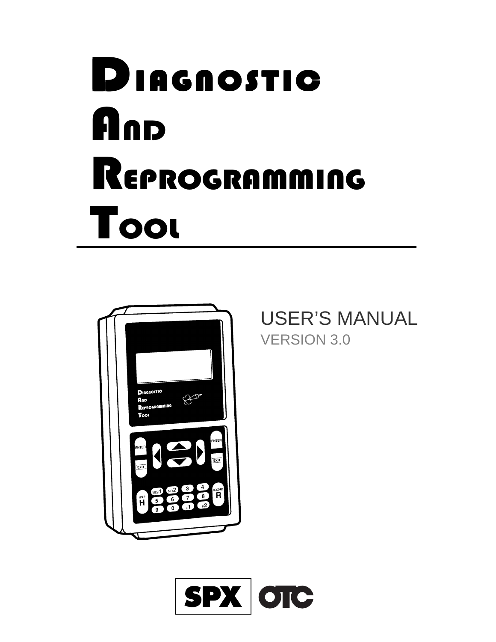# **DIAGNOSTIC A**nd REPROGRAMMING TOOL



USER'S MANUAL VERSION 3.0

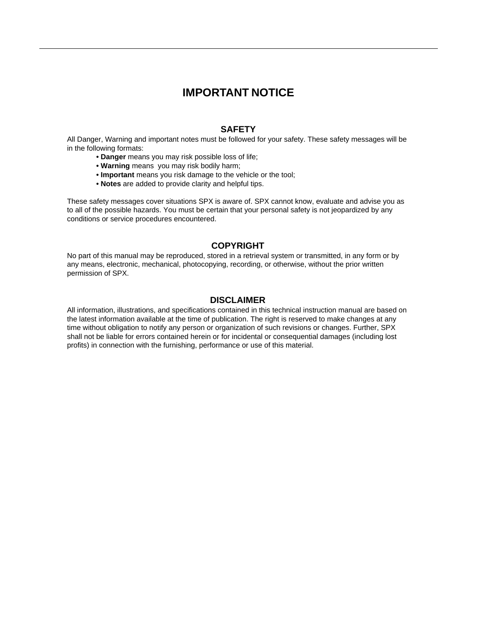#### **IMPORTANT NOTICE**

#### **SAFETY**

All Danger, Warning and important notes must be followed for your safety. These safety messages will be in the following formats:

- **Danger** means you may risk possible loss of life;
- **Warning** means you may risk bodily harm;
- **Important** means you risk damage to the vehicle or the tool;
- **Notes** are added to provide clarity and helpful tips.

These safety messages cover situations SPX is aware of. SPX cannot know, evaluate and advise you as to all of the possible hazards. You must be certain that your personal safety is not jeopardized by any conditions or service procedures encountered.

#### **COPYRIGHT**

No part of this manual may be reproduced, stored in a retrieval system or transmitted, in any form or by any means, electronic, mechanical, photocopying, recording, or otherwise, without the prior written permission of SPX.

#### **DISCLAIMER**

All information, illustrations, and specifications contained in this technical instruction manual are based on the latest information available at the time of publication. The right is reserved to make changes at any time without obligation to notify any person or organization of such revisions or changes. Further, SPX shall not be liable for errors contained herein or for incidental or consequential damages (including lost profits) in connection with the furnishing, performance or use of this material.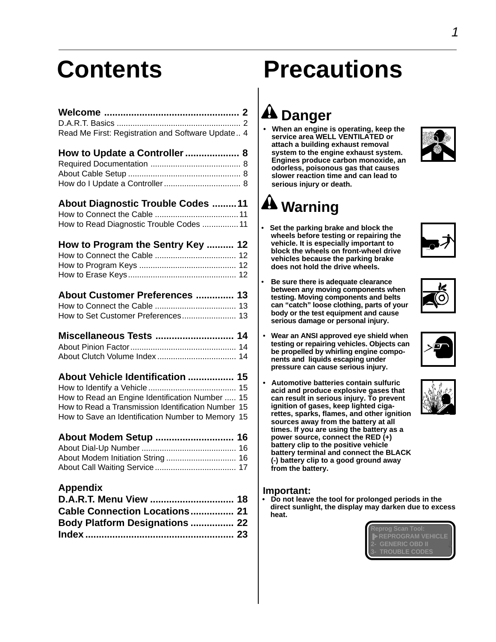| Read Me First: Registration and Software Update 4 |  |
|---------------------------------------------------|--|

| How to Update a Controller  8 |  |
|-------------------------------|--|
|                               |  |
|                               |  |
|                               |  |

#### **About Diagnostic Trouble Codes .........11**

| How to Read Diagnostic Trouble Codes 11 |  |
|-----------------------------------------|--|

- **How to Program the Sentry Key .......... 12**
- How to Connect the Cable .................................... 12 How to Program Keys ........................................... 12 How to Erase Keys................................................ 12
- **About Customer Preferences .............. 13**
- How to Connect the Cable .................................... 13 How to Set Customer Preferences........................ 13
- **Miscellaneous Tests ............................. 14** About Pinion Factor............................................... 14
- About Clutch Volume Index ................................... 14
- **About Vehicle Identification ................. 15** How to Identify a Vehicle ....................................... 15 How to Read an Engine Identification Number ..... 15 How to Read a Transmission Identification Number 15 How to Save an Identification Number to Memory 15
- **About Modem Setup ............................. 16**
- About Dial-Up Number .......................................... 16 About Modem Initiation String ............................... 16 About Call Waiting Service .................................... 17

#### **Appendix**

| D.A.R.T. Menu View  18                |  |
|---------------------------------------|--|
| Cable Connection Locations 21         |  |
| <b>Body Platform Designations  22</b> |  |
|                                       |  |

# **Contents Precautions**

## **A** Danger

**• When an engine is operating, keep the service area WELL VENTILATED or attach a building exhaust removal system to the engine exhaust system. Engines produce carbon monoxide, an odorless, poisonous gas that causes slower reaction time and can lead to serious injury or death.**





# **Warning**

• **Set the parking brake and block the wheels before testing or repairing the vehicle. It is especially important to block the wheels on front-wheel drive vehicles because the parking brake does not hold the drive wheels.**



- **Be sure there is adequate clearance between any moving components when testing. Moving components and belts can "catch" loose clothing, parts of your body or the test equipment and cause serious damage or personal injury.**
- • **Wear an ANSI approved eye shield when testing or repairing vehicles. Objects can be propelled by whirling engine components and liquids escaping under pressure can cause serious injury.**
- **Automotive batteries contain sulfuric acid and produce explosive gases that can result in serious injury. To prevent ignition of gases, keep lighted cigarettes, sparks, flames, and other ignition sources away from the battery at all times. If you are using the battery as a power source, connect the RED (+) battery clip to the positive vehicle battery terminal and connect the BLACK (-) battery clip to a good ground away from the battery.**

#### **Important:**

**• Do not leave the tool for prolonged periods in the direct sunlight, the display may darken due to excess heat.**

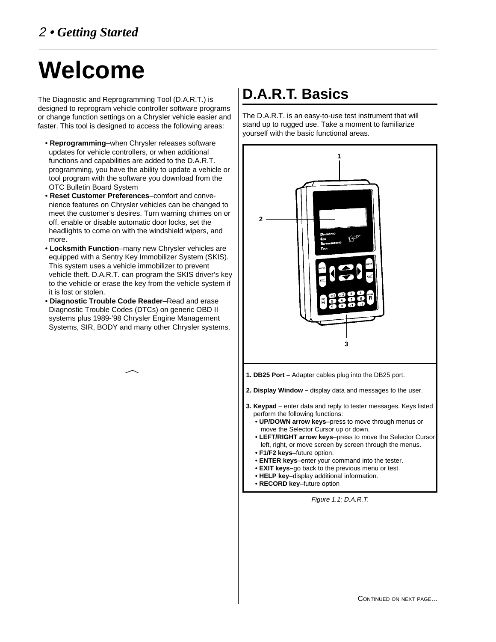# **Welcome**

The Diagnostic and Reprogramming Tool (D.A.R.T.) is designed to reprogram vehicle controller software programs or change function settings on a Chrysler vehicle easier and faster. This tool is designed to access the following areas:

- **Reprogramming**–when Chrysler releases software updates for vehicle controllers, or when additional functions and capabilities are added to the D.A.R.T. programming, you have the ability to update a vehicle or tool program with the software you download from the OTC Bulletin Board System
- **Reset Customer Preferences**–comfort and convenience features on Chrysler vehicles can be changed to meet the customer's desires. Turn warning chimes on or off, enable or disable automatic door locks, set the headlights to come on with the windshield wipers, and more.
- **Locksmith Function**–many new Chrysler vehicles are equipped with a Sentry Key Immobilizer System (SKIS). This system uses a vehicle immobilizer to prevent vehicle theft. D.A.R.T. can program the SKIS driver's key to the vehicle or erase the key from the vehicle system if it is lost or stolen.
- **Diagnostic Trouble Code Reader**–Read and erase Diagnostic Trouble Codes (DTCs) on generic OBD II systems plus 1989-'98 Chrysler Engine Management Systems, SIR, BODY and many other Chrysler systems.



The D.A.R.T. is an easy-to-use test instrument that will stand up to rugged use. Take a moment to familiarize yourself with the basic functional areas.



- **ENTER keys**–enter your command into the tester.
- **EXIT keys–**go back to the previous menu or test.
- **HELP key**–display additional information.
- **RECORD key**–future option

Figure 1.1: D.A.R.T.

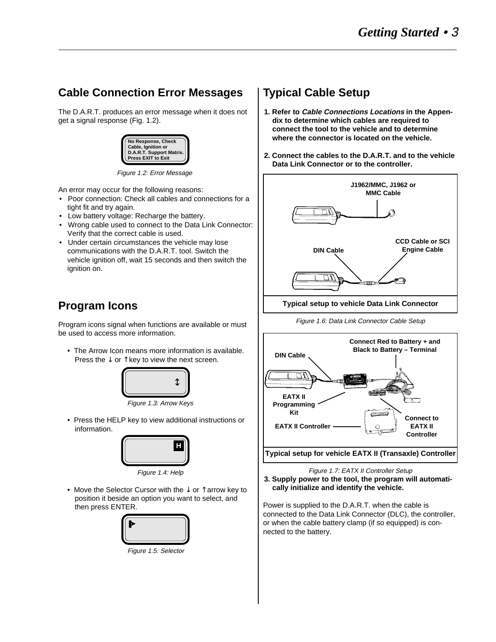### **Cable Connection Error Messages**

The D.A.R.T. produces an error message when it does not get a signal response (Fig. 1.2).



Figure 1.2: Error Message

An error may occur for the following reasons:

- Poor connection: Check all cables and connections for a tight fit and try again.
- Low battery voltage: Recharge the battery.
- Wrong cable used to connect to the Data Link Connector: Verify that the correct cable is used.
- Under certain circumstances the vehicle may lose communications with the D.A.R.T. tool. Switch the vehicle ignition off, wait 15 seconds and then switch the ignition on.

### **Program Icons**

Program icons signal when functions are available or must be used to access more information.

• The Arrow Icon means more information is available. Press the  $\downarrow$  or  $\uparrow$  key to view the next screen.



Figure 1.3: Arrow Keys

• Press the HELP key to view additional instructions or information.



Figure 1.4: Help

• Move the Selector Cursor with the ↓ or ↑ arrow key to position it beside an option you want to select, and then press ENTER.



### **Typical Cable Setup**

- **1. Refer to Cable Connections Locations in the Appendix to determine which cables are required to connect the tool to the vehicle and to determine where the connector is located on the vehicle.**
- **2. Connect the cables to the D.A.R.T. and to the vehicle Data Link Connector or to the controller.**



Figure 1.6: Data Link Connector Cable Setup



Figure 1.7: EATX II Controller Setup **3. Supply power to the tool, the program will automatically initialize and identify the vehicle.**

Power is supplied to the D.A.R.T. when the cable is connected to the Data Link Connector (DLC), the controller, or when the cable battery clamp (if so equipped) is connected to the battery.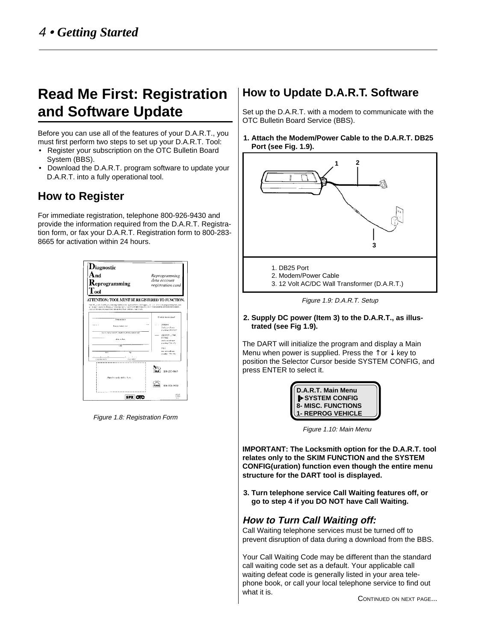## **Read Me First: Registration and Software Update**

Before you can use all of the features of your D.A.R.T., you must first perform two steps to set up your D.A.R.T. Tool:

- Register your subscription on the OTC Bulletin Board System (BBS).
- Download the D.A.R.T. program software to update your D.A.R.T. into a fully operational tool.

### **How to Register**

For immediate registration, telephone 800-926-9430 and provide the information required from the D.A.R.T. Registration form, or fax your D.A.R.T. Registration form to 800-283- 8665 for activation within 24 hours.

| $\mathbf{D}$ iagnostic<br>. nd<br>${\bf R}$ eprogramming<br>$\Gamma_{\rm col}$                                                                                                                                                                                      | Reprogramming<br>data account<br>registration card             |
|---------------------------------------------------------------------------------------------------------------------------------------------------------------------------------------------------------------------------------------------------------------------|----------------------------------------------------------------|
| ATTENTION: TOOL MUST BE REGISTERED TO FUNCTION.<br>Your Doc, instructed Kipecommung. But insider equivalentle to an engage on the collection programming forces in<br>AT IN EACH AND IN FRONT ON THE BIKEY CHAIR THE FRONT MARKET WAS CITED DAMERATE RECENT WITHOUT |                                                                |
| OR EAX TO 500-253-AVAS FOR REGRITRATION WITHIN 24 FOURS<br>Computer market                                                                                                                                                                                          | Chair for home chood.                                          |
| <b>LEWIS CO., LANSING</b><br>Principe contact cases                                                                                                                                                                                                                 | <b>DTAIN</b><br><b>Sockia software</b><br>drawnings (PTC19137) |
| Day 4. His factor and CA consider to strength dealershipping<br><b>Sza sukce</b>                                                                                                                                                                                    | MLR \$291, 2560.<br><b>BT356C</b><br><b>God as a subseque</b>  |
| तर                                                                                                                                                                                                                                                                  | Anumber 1990 CPS<br>3561<br>successive city, and               |
| Sex<br>'nи<br>Interview case by                                                                                                                                                                                                                                     | conter 156.00                                                  |
|                                                                                                                                                                                                                                                                     | 800-283-8665                                                   |
| Place bet code sticker hard                                                                                                                                                                                                                                         | 800-926-9430                                                   |
| SPX OTC                                                                                                                                                                                                                                                             | 42.515<br><b>Literal</b><br>14.47                              |

Figure 1.8: Registration Form

### **How to Update D.A.R.T. Software**

Set up the D.A.R.T. with a modem to communicate with the OTC Bulletin Board Service (BBS).

**1. Attach the Modem/Power Cable to the D.A.R.T. DB25 Port (see Fig. 1.9).**



Figure 1.9: D.A.R.T. Setup

#### **2. Supply DC power (Item 3) to the D.A.R.T., as illustrated (see Fig 1.9).**

The DART will initialize the program and display a Main Menu when power is supplied. Press the  $\uparrow$  or  $\downarrow$  key to position the Selector Cursor beside SYSTEM CONFIG, and press ENTER to select it.



Figure 1.10: Main Menu

**IMPORTANT: The Locksmith option for the D.A.R.T. tool relates only to the SKIM FUNCTION and the SYSTEM CONFIG(uration) function even though the entire menu structure for the DART tool is displayed.**

**3. Turn telephone service Call Waiting features off, or go to step 4 if you DO NOT have Call Waiting.**

#### **How to Turn Call Waiting off:**

Call Waiting telephone services must be turned off to prevent disruption of data during a download from the BBS.

Your Call Waiting Code may be different than the standard call waiting code set as a default. Your applicable call waiting defeat code is generally listed in your area telephone book, or call your local telephone service to find out what it is.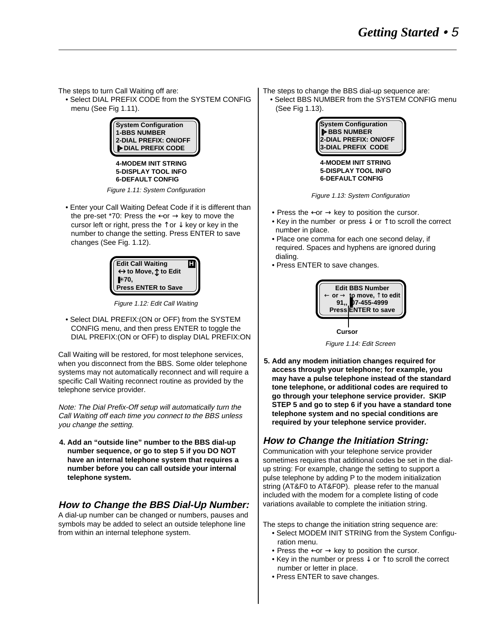The steps to turn Call Waiting off are:

• Select DIAL PREFIX CODE from the SYSTEM CONFIG menu (See Fig 1.11).



**4-MODEM INIT STRING 5-DISPLAY TOOL INFO 6-DEFAULT CONFIG**

Figure 1.11: System Configuration

• Enter your Call Waiting Defeat Code if it is different than the pre-set \*70: Press the  $\leftarrow$  or  $\rightarrow$  key to move the cursor left or right, press the  $\uparrow$  or  $\downarrow$  key or key in the number to change the setting. Press ENTER to save changes (See Fig. 1.12).



Figure 1.12: Edit Call Waiting

• Select DIAL PREFIX:(ON or OFF) from the SYSTEM CONFIG menu, and then press ENTER to toggle the DIAL PREFIX:(ON or OFF) to display DIAL PREFIX:ON

Call Waiting will be restored, for most telephone services, when you disconnect from the BBS. Some older telephone systems may not automatically reconnect and will require a specific Call Waiting reconnect routine as provided by the telephone service provider.

Note: The Dial Prefix-Off setup will automatically turn the Call Waiting off each time you connect to the BBS unless you change the setting.

**4. Add an "outside line" number to the BBS dial-up number sequence, or go to step 5 if you DO NOT have an internal telephone system that requires a number before you can call outside your internal telephone system.**

### **How to Change the BBS Dial-Up Number:**

A dial-up number can be changed or numbers, pauses and symbols may be added to select an outside telephone line from within an internal telephone system.

- The steps to change the BBS dial-up sequence are:
- Select BBS NUMBER from the SYSTEM CONFIG menu (See Fig 1.13).



**4-MODEM INIT STRING 5-DISPLAY TOOL INFO 6-DEFAULT CONFIG**

Figure 1.13: System Configuration

- Press the  $\leftarrow$  or  $\rightarrow$  key to position the cursor.
- Key in the number or press  $\downarrow$  or  $\uparrow$  to scroll the correct number in place.
- Place one comma for each one second delay, if required. Spaces and hyphens are ignored during dialing.
- Press ENTER to save changes.



Figure 1.14: Edit Screen **Cursor**

**5. Add any modem initiation changes required for access through your telephone; for example, you may have a pulse telephone instead of the standard tone telephone, or additional codes are required to go through your telephone service provider. SKIP STEP 5 and go to step 6 if you have a standard tone telephone system and no special conditions are required by your telephone service provider.**

#### **How to Change the Initiation String:**

Communication with your telephone service provider sometimes requires that additional codes be set in the dialup string: For example, change the setting to support a pulse telephone by adding P to the modem initialization string (AT&F0 to AT&F0P). please refer to the manual included with the modem for a complete listing of code variations available to complete the initiation string.

The steps to change the initiation string sequence are:

- Select MODEM INIT STRING from the System Configuration menu.
- Press the  $\leftarrow$  or  $\rightarrow$  key to position the cursor.
- Key in the number or press ↓ or ↑ to scroll the correct number or letter in place.
- Press ENTER to save changes.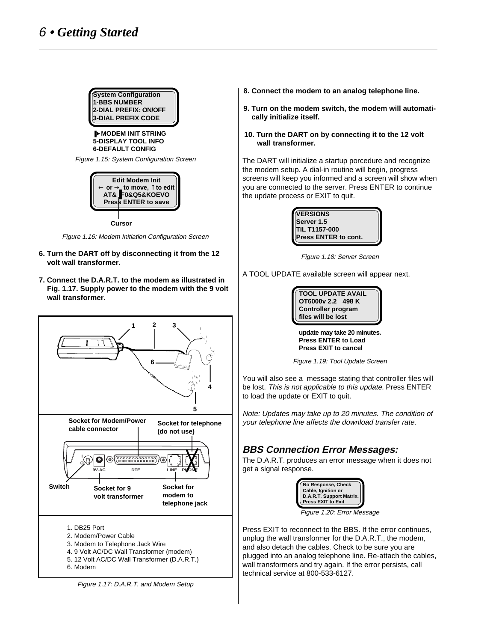

❚➤**MODEM INIT STRING 5-DISPLAY TOOL INFO 6-DEFAULT CONFIG**

Figure 1.15: System Configuration Screen



Figure 1.16: Modem Initiation Configuration Screen

- **6. Turn the DART off by disconnecting it from the 12 volt wall transformer.**
- **7. Connect the D.A.R.T. to the modem as illustrated in Fig. 1.17. Supply power to the modem with the 9 volt wall transformer.**



6. Modem

Figure 1.17: D.A.R.T. and Modem Setup

- **8. Connect the modem to an analog telephone line.**
- **9. Turn on the modem switch, the modem will automatically initialize itself.**
- **10. Turn the DART on by connecting it to the 12 volt wall transformer.**

The DART will initialize a startup porcedure and recognize the modem setup. A dial-in routine will begin, progress screens will keep you informed and a screen will show when you are connected to the server. Press ENTER to continue the update process or EXIT to quit.



Figure 1.18: Server Screen

A TOOL UPDATE available screen will appear next.



**update may take 20 minutes. Press ENTER to Load Press EXIT to cancel**

Figure 1.19: Tool Update Screen

You will also see a message stating that controller files will be lost. This is not applicable to this update. Press ENTER to load the update or EXIT to quit.

Note: Updates may take up to 20 minutes. The condition of your telephone line affects the download transfer rate.

#### **BBS Connection Error Messages:**

The D.A.R.T. produces an error message when it does not get a signal response.



Figure 1.20: Error Message

Press EXIT to reconnect to the BBS. If the error continues, unplug the wall transformer for the D.A.R.T., the modem, and also detach the cables. Check to be sure you are plugged into an analog telephone line. Re-attach the cables, wall transformers and try again. If the error persists, call technical service at 800-533-6127.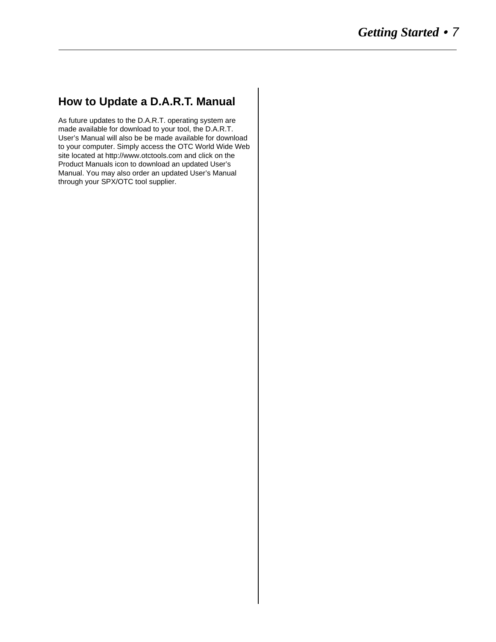### **How to Update a D.A.R.T. Manual**

As future updates to the D.A.R.T. operating system are made available for download to your tool, the D.A.R.T. User's Manual will also be be made available for download to your computer. Simply access the OTC World Wide Web site located at http://www.otctools.com and click on the Product Manuals icon to download an updated User's Manual. You may also order an updated User's Manual through your SPX/OTC tool supplier.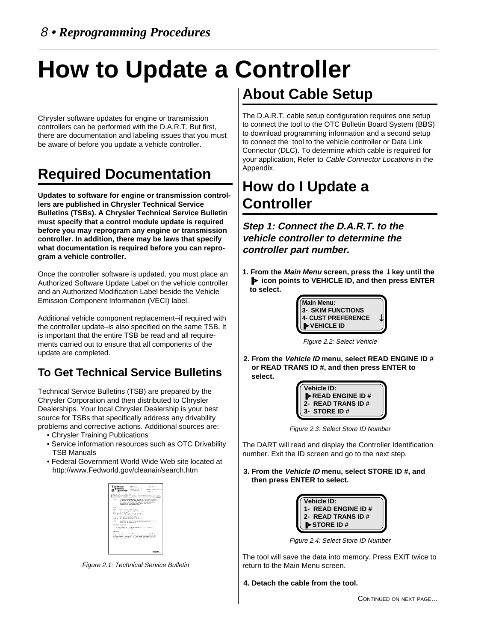# **How to Update a Controller**

Chrysler software updates for engine or transmission controllers can be performed with the D.A.R.T. But first, there are documentation and labeling issues that you must be aware of before you update a vehicle controller.

## **Required Documentation**

**Updates to software for engine or transmission controllers are published in Chrysler Technical Service Bulletins (TSBs). A Chrysler Technical Service Bulletin must specify that a control module update is required before you may reprogram any engine or transmission controller. In addition, there may be laws that specify what documentation is required before you can reprogram a vehicle controller.**

Once the controller software is updated, you must place an Authorized Software Update Label on the vehicle controller and an Authorized Modification Label beside the Vehicle Emission Component Information (VECI) label.

Additional vehicle component replacement–if required with the controller update–is also specified on the same TSB. It is important that the entire TSB be read and all requirements carried out to ensure that all components of the update are completed.

## **To Get Technical Service Bulletins**

Technical Service Bulletins (TSB) are prepared by the Chrysler Corporation and then distributed to Chrysler Dealerships. Your local Chrysler Dealership is your best source for TSBs that specifically address any drivability problems and corrective actions. Additional sources are:

- Chrysler Training Publications
- Service information resources such as OTC Drivability TSB Manuals
- Federal Government World Wide Web site located at http://www.Fedworld.gov/cleanair/search.htm



Figure 2.1: Technical Service Bulletin

# **About Cable Setup**

The D.A.R.T. cable setup configuration requires one setup to connect the tool to the OTC Bulletin Board System (BBS) to download programming information and a second setup to connect the tool to the vehicle controller or Data Link Connector (DLC). To determine which cable is required for your application, Refer to Cable Connector Locations in the Appendix.

## **How do I Update a Controller**

**Step 1: Connect the D.A.R.T. to the vehicle controller to determine the controller part number.**

**1. From the Main Menu screen, press the** ↓ **key until the** ❚➤ **icon points to VEHICLE ID, and then press ENTER to select.**



Figure 2.2: Select Vehicle

**2. From the Vehicle ID menu, select READ ENGINE ID # or READ TRANS ID #, and then press ENTER to select.**

> **Vehicle ID:** ❚➤**READ ENGINE ID # 2- READ TRANS ID # 3- STORE ID #**

Figure 2.3: Select Store ID Number

The DART will read and display the Controller Identification number. Exit the ID screen and go to the next step.

**3. From the Vehicle ID menu, select STORE ID #, and then press ENTER to select.**

| Vehicle ID:<br>1- READ ENGINE ID # |  |
|------------------------------------|--|
|                                    |  |
| 2- READ TRANS ID #<br>I>STORE ID # |  |
|                                    |  |

Figure 2.4: Select Store ID Number

The tool will save the data into memory. Press EXIT twice to return to the Main Menu screen.

**4. Detach the cable from the tool.**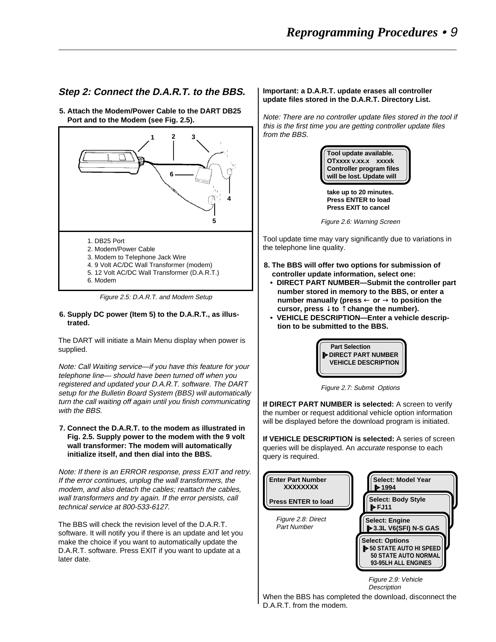#### **Step 2: Connect the D.A.R.T. to the BBS.**

**5. Attach the Modem/Power Cable to the DART DB25 Port and to the Modem (see Fig. 2.5).**



Figure 2.5: D.A.R.T. and Modem Setup

#### **6. Supply DC power (Item 5) to the D.A.R.T., as illustrated.**

The DART will initiate a Main Menu display when power is supplied.

Note: Call Waiting service—if you have this feature for your telephone line— should have been turned off when you registered and updated your D.A.R.T. software. The DART setup for the Bulletin Board System (BBS) will automatically turn the call waiting off again until you finish communicating with the BBS.

#### **7. Connect the D.A.R.T. to the modem as illustrated in Fig. 2.5. Supply power to the modem with the 9 volt wall transformer: The modem will automatically initialize itself, and then dial into the BBS.**

Note: If there is an ERROR response, press EXIT and retry. If the error continues, unplug the wall transformers, the modem, and also detach the cables; reattach the cables, wall transformers and try again. If the error persists, call technical service at 800-533-6127.

The BBS will check the revision level of the D.A.R.T. software. It will notify you if there is an update and let you make the choice if you want to automatically update the D.A.R.T. software. Press EXIT if you want to update at a later date.

#### **Important: a D.A.R.T. update erases all controller update files stored in the D.A.R.T. Directory List.**

Note: There are no controller update files stored in the tool if this is the first time you are getting controller update files from the BBS.



**take up to 20 minutes. Press ENTER to load Press EXIT to cancel**

Figure 2.6: Warning Screen

Tool update time may vary significantly due to variations in the telephone line quality.

- **8. The BBS will offer two options for submission of controller update information, select one:**
- **DIRECT PART NUMBER—Submit the controller part number stored in memory to the BBS, or enter a number manually (press** ← **or** → **to position the cursor, press** ↓ **to** ↑ **change the number).**
- **VEHICLE DESCRIPTION—Enter a vehicle description to be submitted to the BBS.**



Figure 2.7: Submit Options

**If DIRECT PART NUMBER is selected:** A screen to verify the number or request additional vehicle option information will be displayed before the download program is initiated.

**If VEHICLE DESCRIPTION is selected:** A series of screen queries will be displayed. An *accurate* response to each query is required.



When the BBS has completed the download, disconnect the D.A.R.T. from the modem.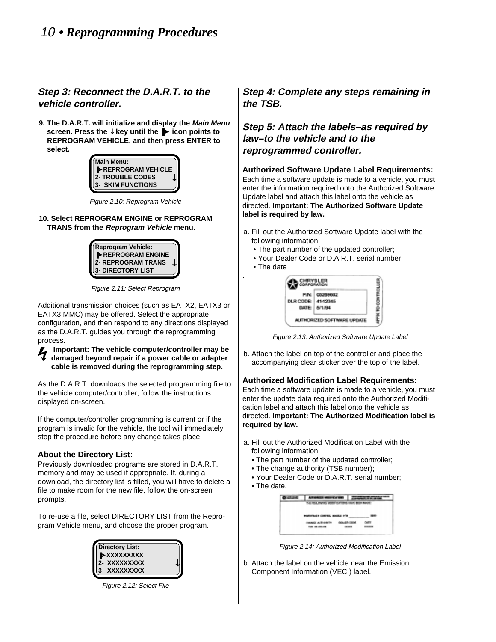#### **Step 3: Reconnect the D.A.R.T. to the vehicle controller.**

**9. The D.A.R.T. will initialize and display the Main Menu screen. Press the** ↓ **key until the** ❚➤ **icon points to REPROGRAM VEHICLE, and then press ENTER to select.**

| Main Menu:                                                        |  |
|-------------------------------------------------------------------|--|
| <b>DEPROGRAM VEHICLE</b><br>2- TROUBLE CODES<br>3- SKIM FUNCTIONS |  |
|                                                                   |  |
|                                                                   |  |

Figure 2.10: Reprogram Vehicle

#### **10. Select REPROGRAM ENGINE or REPROGRAM TRANS from the Reprogram Vehicle menu.**



Figure 2.11: Select Reprogram

Additional transmission choices (such as EATX2, EATX3 or EATX3 MMC) may be offered. Select the appropriate configuration, and then respond to any directions displayed as the D.A.R.T. guides you through the reprogramming process.

**Important: The vehicle computer/controller may be damaged beyond repair if a power cable or adapter cable is removed during the reprogramming step.**

As the D.A.R.T. downloads the selected programming file to the vehicle computer/controller, follow the instructions displayed on-screen.

If the computer/controller programming is current or if the program is invalid for the vehicle, the tool will immediately stop the procedure before any change takes place.

#### **About the Directory List:**

Previously downloaded programs are stored in D.A.R.T. memory and may be used if appropriate. If, during a download, the directory list is filled, you will have to delete a file to make room for the new file, follow the on-screen prompts.

To re-use a file, select DIRECTORY LIST from the Reprogram Vehicle menu, and choose the proper program.

| Directory List:<br>D>XXXXXXXXX |  |
|--------------------------------|--|
| 2- XXXXXXXXX                   |  |
| 3- XXXXXXXXX                   |  |

Figure 2.12: Select File

**Step 4: Complete any steps remaining in the TSB.**

#### **Step 5: Attach the labels–as required by law–to the vehicle and to the reprogrammed controller.**

**Authorized Software Update Label Requirements:** Each time a software update is made to a vehicle, you must enter the information required onto the Authorized Software Update label and attach this label onto the vehicle as directed. **Important: The Authorized Software Update label is required by law.**

- a. Fill out the Authorized Software Update label with the following information:
	- The part number of the updated controller;
	- Your Dealer Code or D.A.R.T. serial number;
	- The date

.



Figure 2.13: Authorized Software Update Label

b. Attach the label on top of the controller and place the accompanying clear sticker over the top of the label.

#### **Authorized Modification Label Requirements:**

Each time a software update is made to a vehicle, you must enter the update data required onto the Authorized Modification label and attach this label onto the vehicle as directed. **Important: The Authorized Modification label is required by law.**

- a. Fill out the Authorized Modification Label with the following information:
	- The part number of the updated controller;
	- The change authority (TSB number);
	- Your Dealer Code or D.A.R.T. serial number;
	- The date.



Figure 2.14: Authorized Modification Label

b. Attach the label on the vehicle near the Emission Component Information (VECI) label.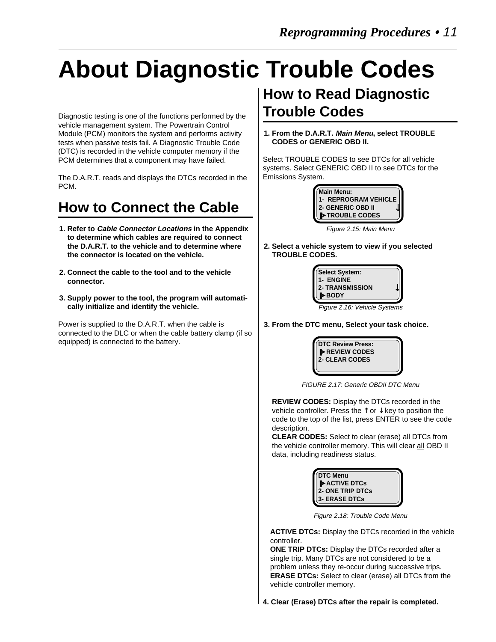# **About Diagnostic Trouble Codes**

Diagnostic testing is one of the functions performed by the vehicle management system. The Powertrain Control Module (PCM) monitors the system and performs activity tests when passive tests fail. A Diagnostic Trouble Code (DTC) is recorded in the vehicle computer memory if the PCM determines that a component may have failed.

The D.A.R.T. reads and displays the DTCs recorded in the PCM.

## **How to Connect the Cable**

- **1. Refer to Cable Connector Locations in the Appendix to determine which cables are required to connect the D.A.R.T. to the vehicle and to determine where the connector is located on the vehicle.**
- **2. Connect the cable to the tool and to the vehicle connector.**
- **3. Supply power to the tool, the program will automatically initialize and identify the vehicle.**

Power is supplied to the D.A.R.T. when the cable is connected to the DLC or when the cable battery clamp (if so equipped) is connected to the battery.

## **How to Read Diagnostic Trouble Codes**

**1. From the D.A.R.T. Main Menu, select TROUBLE CODES or GENERIC OBD II.**

Select TROUBLE CODES to see DTCs for all vehicle systems. Select GENERIC OBD II to see DTCs for the Emissions System.



Figure 2.15: Main Menu

**2. Select a vehicle system to view if you selected TROUBLE CODES.**



Figure 2.16: Vehicle Systems

**3. From the DTC menu, Select your task choice.**



FIGURE 2.17: Generic OBDII DTC Menu

**REVIEW CODES:** Display the DTCs recorded in the vehicle controller. Press the  $\uparrow$  or  $\downarrow$  key to position the code to the top of the list, press ENTER to see the code description.

**CLEAR CODES:** Select to clear (erase) all DTCs from the vehicle controller memory. This will clear all OBD II data, including readiness status.



Figure 2.18: Trouble Code Menu

**ACTIVE DTCs:** Display the DTCs recorded in the vehicle controller.

**ONE TRIP DTCs:** Display the DTCs recorded after a single trip. Many DTCs are not considered to be a problem unless they re-occur during successive trips. **ERASE DTCs:** Select to clear (erase) all DTCs from the vehicle controller memory.

**4. Clear (Erase) DTCs after the repair is completed.**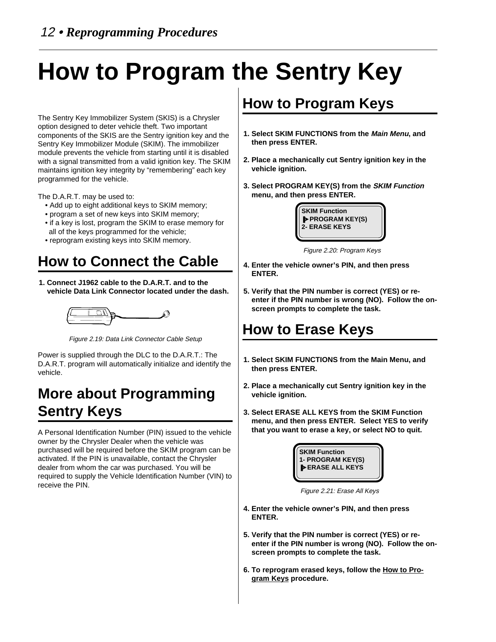# **How to Program the Sentry Key**

The Sentry Key Immobilizer System (SKIS) is a Chrysler option designed to deter vehicle theft. Two important components of the SKIS are the Sentry ignition key and the Sentry Key Immobilizer Module (SKIM). The immobilizer module prevents the vehicle from starting until it is disabled with a signal transmitted from a valid ignition key. The SKIM maintains ignition key integrity by "remembering" each key programmed for the vehicle.

The D.A.R.T. may be used to:

- Add up to eight additional keys to SKIM memory;
- program a set of new keys into SKIM memory;
- if a key is lost, program the SKIM to erase memory for all of the keys programmed for the vehicle;
- reprogram existing keys into SKIM memory.

## **How to Connect the Cable**

**1. Connect J1962 cable to the D.A.R.T. and to the vehicle Data Link Connector located under the dash.**



Figure 2.19: Data Link Connector Cable Setup

Power is supplied through the DLC to the D.A.R.T.: The D.A.R.T. program will automatically initialize and identify the vehicle.

## **More about Programming Sentry Keys**

A Personal Identification Number (PIN) issued to the vehicle owner by the Chrysler Dealer when the vehicle was purchased will be required before the SKIM program can be activated. If the PIN is unavailable, contact the Chrysler dealer from whom the car was purchased. You will be required to supply the Vehicle Identification Number (VIN) to receive the PIN.

## **How to Program Keys**

- **1. Select SKIM FUNCTIONS from the Main Menu, and then press ENTER.**
- **2. Place a mechanically cut Sentry ignition key in the vehicle ignition.**
- **3. Select PROGRAM KEY(S) from the SKIM Function menu, and then press ENTER.**



Figure 2.20: Program Keys

- **4. Enter the vehicle owner's PIN, and then press ENTER.**
- **5. Verify that the PIN number is correct (YES) or reenter if the PIN number is wrong (NO). Follow the onscreen prompts to complete the task.**

## **How to Erase Keys**

- **1. Select SKIM FUNCTIONS from the Main Menu, and then press ENTER.**
- **2. Place a mechanically cut Sentry ignition key in the vehicle ignition.**
- **3. Select ERASE ALL KEYS from the SKIM Function menu, and then press ENTER. Select YES to verify that you want to erase a key, or select NO to quit.**



Figure 2.21: Erase All Keys

- **4. Enter the vehicle owner's PIN, and then press ENTER.**
- **5. Verify that the PIN number is correct (YES) or reenter if the PIN number is wrong (NO). Follow the onscreen prompts to complete the task.**
- **6. To reprogram erased keys, follow the How to Program Keys procedure.**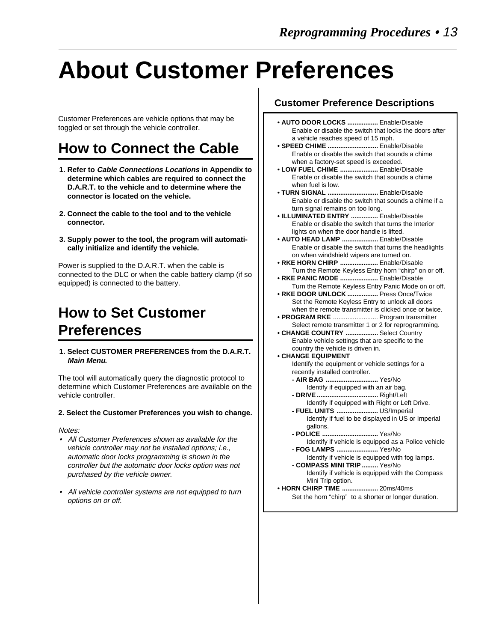# **About Customer Preferences**

Customer Preferences are vehicle options that may be toggled or set through the vehicle controller.

## **How to Connect the Cable**

- **1. Refer to Cable Connections Locations in Appendix to determine which cables are required to connect the D.A.R.T. to the vehicle and to determine where the connector is located on the vehicle.**
- **2. Connect the cable to the tool and to the vehicle connector.**
- **3. Supply power to the tool, the program will automatically initialize and identify the vehicle.**

Power is supplied to the D.A.R.T. when the cable is connected to the DLC or when the cable battery clamp (if so equipped) is connected to the battery.

## **How to Set Customer Preferences**

**1. Select CUSTOMER PREFERENCES from the D.A.R.T. Main Menu.**

The tool will automatically query the diagnostic protocol to determine which Customer Preferences are available on the vehicle controller.

#### **2. Select the Customer Preferences you wish to change.**

Notes:

- All Customer Preferences shown as available for the vehicle controller may not be installed options; i.e., automatic door locks programming is shown in the controller but the automatic door locks option was not purchased by the vehicle owner.
- All vehicle controller systems are not equipped to turn options on or off.

#### **Customer Preference Descriptions**

- **AUTO DOOR LOCKS .................** Enable/Disable Enable or disable the switch that locks the doors after a vehicle reaches speed of 15 mph.
- **SPEED CHIME ............................** Enable/Disable Enable or disable the switch that sounds a chime when a factory-set speed is exceeded.
- **LOW FUEL CHIME .....................** Enable/Disable Enable or disable the switch that sounds a chime when fuel is low.
- **TURN SIGNAL ............................** Enable/Disable Enable or disable the switch that sounds a chime if a turn signal remains on too long.
- **ILLUMINATED ENTRY ...............** Enable/Disable Enable or disable the switch that turns the Interior lights on when the door handle is lifted.
- **AUTO HEAD LAMP ....................** Enable/Disable Enable or disable the switch that turns the headlights on when windshield wipers are turned on.
- **RKE HORN CHIRP .....................** Enable/Disable Turn the Remote Keyless Entry horn "chirp" on or off.
- **RKE PANIC MODE .....................** Enable/Disable Turn the Remote Keyless Entry Panic Mode on or off.
- **RKE DOOR UNLOCK .................** Press Once/Twice Set the Remote Keyless Entry to unlock all doors when the remote transmitter is clicked once or twice.
- **PROGRAM RKE** ......................... Program transmitter Select remote transmitter 1 or 2 for reprogramming.
- **CHANGE COUNTRY ..................** Select Country Enable vehicle settings that are specific to the country the vehicle is driven in.
- **CHANGE EQUIPMENT** Identify the equipment or vehicle settings for a recently installed controller.
	- **AIR BAG .............................** Yes/No Identify if equipped with an air bag.
	- **DRIVE ..................................** Right/Left Identify if equipped with Right or Left Drive. **- FUEL UNITS .......................** US/Imperial
		- Identify if fuel to be displayed in US or Imperial gallons.
	- **POLICE ...............................** Yes/No Identify if vehicle is equipped as a Police vehicle
	- **FOG LAMPS .......................** Yes/No Identify if vehicle is equipped with fog lamps.
	- **COMPASS MINI TRIP .........** Yes/No
		- Identify if vehicle is equipped with the Compass Mini Trip option.
- **HORN CHIRP TIME ....................** 20ms/40ms Set the horn "chirp" to a shorter or longer duration.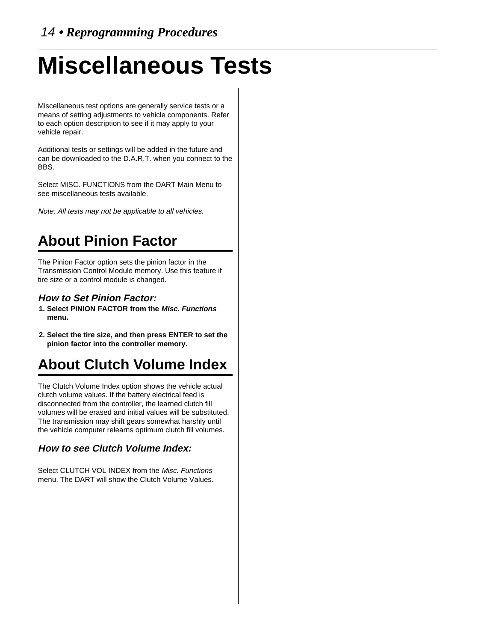# **Miscellaneous Tests**

Miscellaneous test options are generally service tests or a means of setting adjustments to vehicle components. Refer to each option description to see if it may apply to your vehicle repair.

Additional tests or settings will be added in the future and can be downloaded to the D.A.R.T. when you connect to the BBS.

Select MISC. FUNCTIONS from the DART Main Menu to see miscellaneous tests available.

Note: All tests may not be applicable to all vehicles.

## **About Pinion Factor**

The Pinion Factor option sets the pinion factor in the Transmission Control Module memory. Use this feature if tire size or a control module is changed.

#### **How to Set Pinion Factor:**

- **1. Select PINION FACTOR from the Misc. Functions menu.**
- **2. Select the tire size, and then press ENTER to set the pinion factor into the controller memory.**

## **About Clutch Volume Index**

The Clutch Volume Index option shows the vehicle actual clutch volume values. If the battery electrical feed is disconnected from the controller, the learned clutch fill volumes will be erased and initial values will be substituted. The transmission may shift gears somewhat harshly until the vehicle computer relearns optimum clutch fill volumes.

#### **How to see Clutch Volume Index:**

Select CLUTCH VOL INDEX from the Misc. Functions menu. The DART will show the Clutch Volume Values.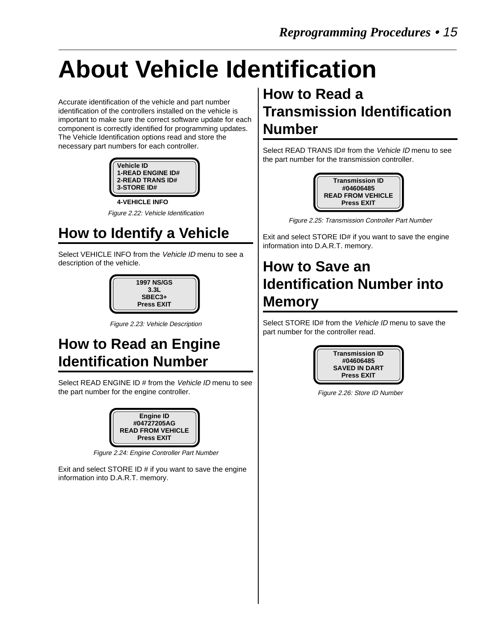# **About Vehicle Identification**

Accurate identification of the vehicle and part number identification of the controllers installed on the vehicle is important to make sure the correct software update for each component is correctly identified for programming updates. The Vehicle Identification options read and store the necessary part numbers for each controller.

| <b>Vehicle ID</b><br><b>1-READ ENGINE ID#</b><br><b>2-READ TRANS ID#</b><br>3-STORE ID# |  |
|-----------------------------------------------------------------------------------------|--|
| <b>4-VEHICLE INFO</b>                                                                   |  |

Figure 2.22: Vehicle Identification

## **How to Identify a Vehicle**

Select VEHICLE INFO from the Vehicle ID menu to see a description of the vehicle.



Figure 2.23: Vehicle Description

## **How to Read an Engine Identification Number**

Select READ ENGINE ID # from the Vehicle ID menu to see the part number for the engine controller.



Figure 2.24: Engine Controller Part Number

Exit and select STORE ID # if you want to save the engine information into D.A.R.T. memory.

## **How to Read a Transmission Identification Number**

Select READ TRANS ID# from the Vehicle ID menu to see the part number for the transmission controller.



Figure 2.25: Transmission Controller Part Number

Exit and select STORE ID# if you want to save the engine information into D.A.R.T. memory.

## **How to Save an Identification Number into Memory**

Select STORE ID# from the Vehicle ID menu to save the part number for the controller read.



Figure 2.26: Store ID Number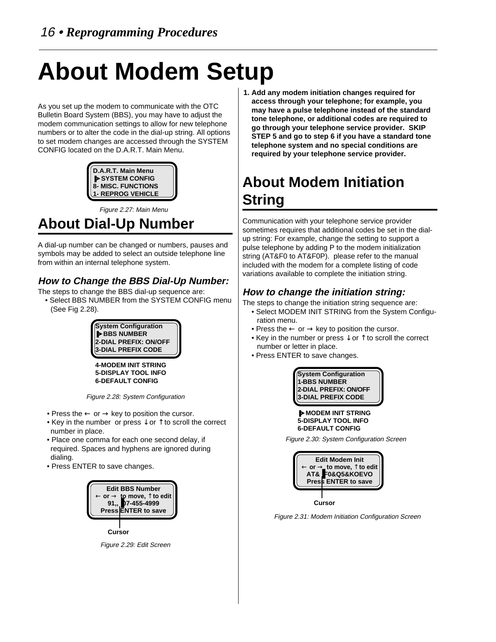# **About Modem Setup**

As you set up the modem to communicate with the OTC Bulletin Board System (BBS), you may have to adjust the modem communication settings to allow for new telephone numbers or to alter the code in the dial-up string. All options to set modem changes are accessed through the SYSTEM CONFIG located on the D.A.R.T. Main Menu.



Figure 2.27: Main Menu

## **About Dial-Up Number**

A dial-up number can be changed or numbers, pauses and symbols may be added to select an outside telephone line from within an internal telephone system.

### **How to Change the BBS Dial-Up Number:**

- The steps to change the BBS dial-up sequence are:
- Select BBS NUMBER from the SYSTEM CONFIG menu (See Fig 2.28).

**System Configuration** ❚➤**BBS NUMBER 2-DIAL PREFIX: ON/OFF 3-DIAL PREFIX CODE**

**4-MODEM INIT STRING 5-DISPLAY TOOL INFO 6-DEFAULT CONFIG**

Figure 2.28: System Configuration

- Press the  $\leftarrow$  or  $\rightarrow$  key to position the cursor.
- Key in the number or press  $\downarrow$  or  $\uparrow$  to scroll the correct number in place.
- Place one comma for each one second delay, if required. Spaces and hyphens are ignored during dialing.
- Press ENTER to save changes.



Figure 2.29: Edit Screen

**1. Add any modem initiation changes required for access through your telephone; for example, you may have a pulse telephone instead of the standard tone telephone, or additional codes are required to go through your telephone service provider. SKIP STEP 5 and go to step 6 if you have a standard tone telephone system and no special conditions are required by your telephone service provider.**

## **About Modem Initiation String**

Communication with your telephone service provider sometimes requires that additional codes be set in the dialup string: For example, change the setting to support a pulse telephone by adding P to the modem initialization string (AT&F0 to AT&F0P). please refer to the manual included with the modem for a complete listing of code variations available to complete the initiation string.

### **How to change the initiation string:**

The steps to change the initiation string sequence are:

- Select MODEM INIT STRING from the System Configuration menu.
- Press the  $\leftarrow$  or  $\rightarrow$  key to position the cursor.
- Key in the number or press  $\downarrow$  or  $\uparrow$  to scroll the correct number or letter in place.
- Press ENTER to save changes.



❚➤**MODEM INIT STRING 5-DISPLAY TOOL INFO 6-DEFAULT CONFIG**

Figure 2.30: System Configuration Screen



Figure 2.31: Modem Initiation Configuration Screen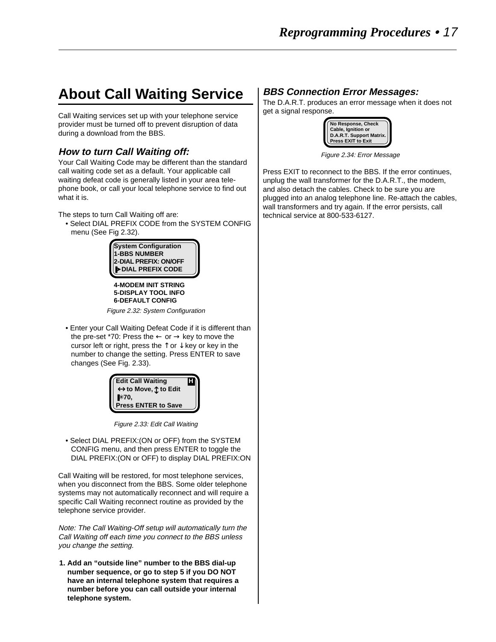## **About Call Waiting Service**

Call Waiting services set up with your telephone service provider must be turned off to prevent disruption of data during a download from the BBS.

#### **How to turn Call Waiting off:**

Your Call Waiting Code may be different than the standard call waiting code set as a default. Your applicable call waiting defeat code is generally listed in your area telephone book, or call your local telephone service to find out what it is.

The steps to turn Call Waiting off are:

• Select DIAL PREFIX CODE from the SYSTEM CONFIG menu (See Fig 2.32).



**4-MODEM INIT STRING 5-DISPLAY TOOL INFO 6-DEFAULT CONFIG**

Figure 2.32: System Configuration

• Enter your Call Waiting Defeat Code if it is different than the pre-set \*70: Press the  $\leftarrow$  or  $\rightarrow$  key to move the cursor left or right, press the  $\uparrow$  or  $\downarrow$  key or key in the number to change the setting. Press ENTER to save changes (See Fig. 2.33).

| <b>Edit Call Waiting</b><br>$\leftrightarrow$ to Move, $\hat{\mathbb{C}}$ to Edit |  |
|-----------------------------------------------------------------------------------|--|
| $**70,$                                                                           |  |
| <b>Press ENTER to Save</b>                                                        |  |

Figure 2.33: Edit Call Waiting

• Select DIAL PREFIX:(ON or OFF) from the SYSTEM CONFIG menu, and then press ENTER to toggle the DIAL PREFIX:(ON or OFF) to display DIAL PREFIX:ON

Call Waiting will be restored, for most telephone services, when you disconnect from the BBS. Some older telephone systems may not automatically reconnect and will require a specific Call Waiting reconnect routine as provided by the telephone service provider.

Note: The Call Waiting-Off setup will automatically turn the Call Waiting off each time you connect to the BBS unless you change the setting.

**1. Add an "outside line" number to the BBS dial-up number sequence, or go to step 5 if you DO NOT have an internal telephone system that requires a number before you can call outside your internal telephone system.**

#### **BBS Connection Error Messages:**

The D.A.R.T. produces an error message when it does not get a signal response.



Figure 2.34: Error Message

Press EXIT to reconnect to the BBS. If the error continues, unplug the wall transformer for the D.A.R.T., the modem, and also detach the cables. Check to be sure you are plugged into an analog telephone line. Re-attach the cables, wall transformers and try again. If the error persists, call technical service at 800-533-6127.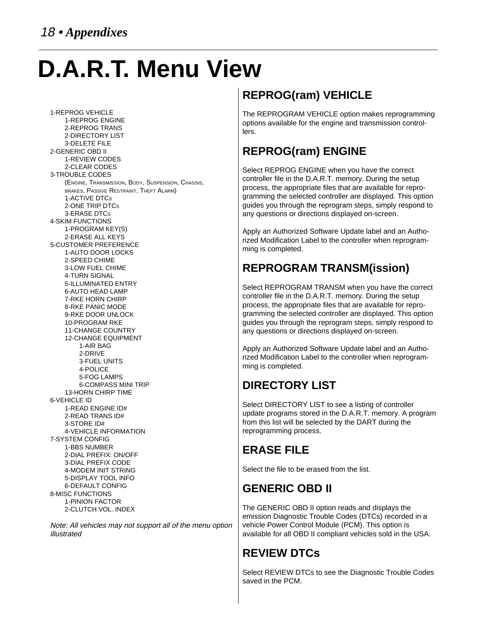# **D.A.R.T. Menu View**

1-REPROG VEHICLE 1-REPROG ENGINE 2-REPROG TRANS 2-DIRECTORY LIST 3-DELETE FILE 2-GENERIC OBD II 1-REVIEW CODES 2-CLEAR CODES 3-TROUBLE CODES (ENGINE, TRANSMISSION, BODY, SUSPENSION, CHASSIS, BRAKES, PASSIVE RESTRAINT, THEFT ALARM) 1-ACTIVE DTCS 2-ONE TRIP DTCS 3-ERASE DTCS 4-SKIM FUNCTIONS 1-PROGRAM KEY(S) 2-ERASE ALL KEYS 5-CUSTOMER PREFERENCE 1-AUTO DOOR LOCKS 2-SPEED CHIME 3-LOW FUEL CHIME 4-TURN SIGNAL 5-ILLUMINATED ENTRY 6-AUTO HEAD LAMP 7-RKE HORN CHIRP 8-RKE PANIC MODE 9-RKE DOOR UNLOCK 10-PROGRAM RKE 11-CHANGE COUNTRY 12-CHANGE EQUIPMENT 1-AIR BAG 2-DRIVE 3-FUEL UNITS 4-POLICE 5-FOG LAMPS 6-COMPASS MINI TRIP 13-HORN CHIRP TIME 6-VEHICLE ID 1-READ ENGINE ID# 2-READ TRANS ID# 3-STORE ID# 4-VEHICLE INFORMATION 7-SYSTEM CONFIG 1-BBS NUMBER 2-DIAL PREFIX: ON/OFF 3-DIAL PREFIX CODE 4-MODEM INIT STRING 5-DISPLAY TOOL INFO 6-DEFAULT CONFIG 8-MISC FUNCTIONS 1-PINION FACTOR 2-CLUTCH VOL. INDEX

Note: All vehicles may not support all of the menu option illustrated

## **REPROG(ram) VEHICLE**

The REPROGRAM VEHICLE option makes reprogramming options available for the engine and transmission controllers.

## **REPROG(ram) ENGINE**

Select REPROG ENGINE when you have the correct controller file in the D.A.R.T. memory. During the setup process, the appropriate files that are available for reprogramming the selected controller are displayed. This option guides you through the reprogram steps, simply respond to any questions or directions displayed on-screen.

Apply an Authorized Software Update label and an Authorized Modification Label to the controller when reprogramming is completed.

## **REPROGRAM TRANSM(ission)**

Select REPROGRAM TRANSM when you have the correct controller file in the D.A.R.T. memory. During the setup process, the appropriate files that are available for reprogramming the selected controller are displayed. This option guides you through the reprogram steps, simply respond to any questions or directions displayed on-screen.

Apply an Authorized Software Update label and an Authorized Modification Label to the controller when reprogramming is completed.

## **DIRECTORY LIST**

Select DIRECTORY LIST to see a listing of controller update programs stored in the D.A.R.T. memory. A program from this list will be selected by the DART during the reprogramming process.

## **ERASE FILE**

Select the file to be erased from the list.

## **GENERIC OBD II**

The GENERIC OBD II option reads and displays the emission Diagnostic Trouble Codes (DTCs) recorded in a vehicle Power Control Module (PCM). This option is available for all OBD II compliant vehicles sold in the USA.

## **REVIEW DTCs**

Select REVIEW DTCs to see the Diagnostic Trouble Codes saved in the PCM.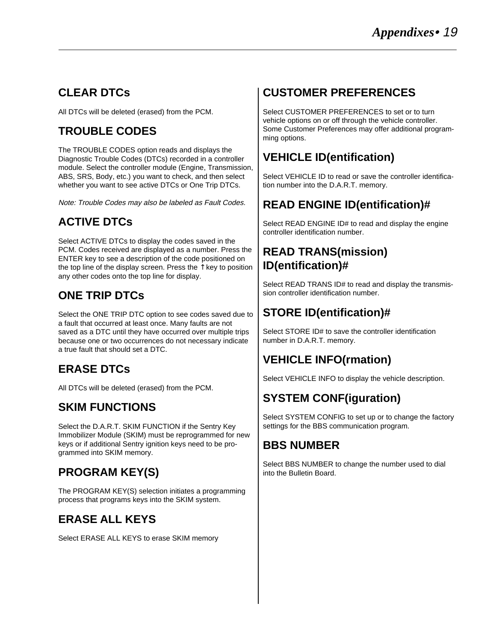## **CLEAR DTCs**

All DTCs will be deleted (erased) from the PCM.

## **TROUBLE CODES**

The TROUBLE CODES option reads and displays the Diagnostic Trouble Codes (DTCs) recorded in a controller module. Select the controller module (Engine, Transmission, ABS, SRS, Body, etc.) you want to check, and then select whether you want to see active DTCs or One Trip DTCs.

Note: Trouble Codes may also be labeled as Fault Codes.

## **ACTIVE DTCs**

Select ACTIVE DTCs to display the codes saved in the PCM. Codes received are displayed as a number. Press the ENTER key to see a description of the code positioned on the top line of the display screen. Press the  $\uparrow$  key to position any other codes onto the top line for display.

## **ONE TRIP DTCs**

Select the ONE TRIP DTC option to see codes saved due to a fault that occurred at least once. Many faults are not saved as a DTC until they have occurred over multiple trips because one or two occurrences do not necessary indicate a true fault that should set a DTC.

## **ERASE DTCs**

All DTCs will be deleted (erased) from the PCM.

## **SKIM FUNCTIONS**

Select the D.A.R.T. SKIM FUNCTION if the Sentry Key Immobilizer Module (SKIM) must be reprogrammed for new keys or if additional Sentry ignition keys need to be programmed into SKIM memory.

## **PROGRAM KEY(S)**

The PROGRAM KEY(S) selection initiates a programming process that programs keys into the SKIM system.

## **ERASE ALL KEYS**

Select ERASE ALL KEYS to erase SKIM memory

## **CUSTOMER PREFERENCES**

Select CUSTOMER PREFERENCES to set or to turn vehicle options on or off through the vehicle controller. Some Customer Preferences may offer additional programming options.

## **VEHICLE ID(entification)**

Select VEHICLE ID to read or save the controller identification number into the D.A.R.T. memory.

## **READ ENGINE ID(entification)#**

Select READ ENGINE ID# to read and display the engine controller identification number.

### **READ TRANS(mission) ID(entification)#**

Select READ TRANS ID# to read and display the transmission controller identification number.

## **STORE ID(entification)#**

Select STORE ID# to save the controller identification number in D.A.R.T. memory.

## **VEHICLE INFO(rmation)**

Select VEHICLE INFO to display the vehicle description.

## **SYSTEM CONF(iguration)**

Select SYSTEM CONFIG to set up or to change the factory settings for the BBS communication program.

## **BBS NUMBER**

Select BBS NUMBER to change the number used to dial into the Bulletin Board.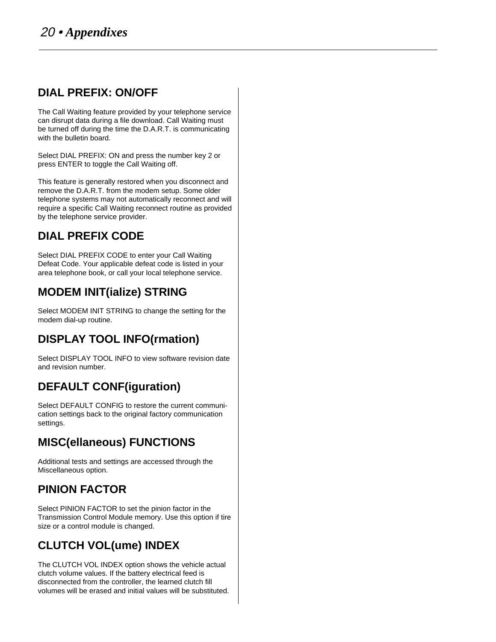### **DIAL PREFIX: ON/OFF**

The Call Waiting feature provided by your telephone service can disrupt data during a file download. Call Waiting must be turned off during the time the D.A.R.T. is communicating with the bulletin board.

Select DIAL PREFIX: ON and press the number key 2 or press ENTER to toggle the Call Waiting off.

This feature is generally restored when you disconnect and remove the D.A.R.T. from the modem setup. Some older telephone systems may not automatically reconnect and will require a specific Call Waiting reconnect routine as provided by the telephone service provider.

## **DIAL PREFIX CODE**

Select DIAL PREFIX CODE to enter your Call Waiting Defeat Code. Your applicable defeat code is listed in your area telephone book, or call your local telephone service.

## **MODEM INIT(ialize) STRING**

Select MODEM INIT STRING to change the setting for the modem dial-up routine.

## **DISPLAY TOOL INFO(rmation)**

Select DISPLAY TOOL INFO to view software revision date and revision number.

## **DEFAULT CONF(iguration)**

Select DEFAULT CONFIG to restore the current communication settings back to the original factory communication settings.

## **MISC(ellaneous) FUNCTIONS**

Additional tests and settings are accessed through the Miscellaneous option.

## **PINION FACTOR**

Select PINION FACTOR to set the pinion factor in the Transmission Control Module memory. Use this option if tire size or a control module is changed.

## **CLUTCH VOL(ume) INDEX**

The CLUTCH VOL INDEX option shows the vehicle actual clutch volume values. If the battery electrical feed is disconnected from the controller, the learned clutch fill volumes will be erased and initial values will be substituted.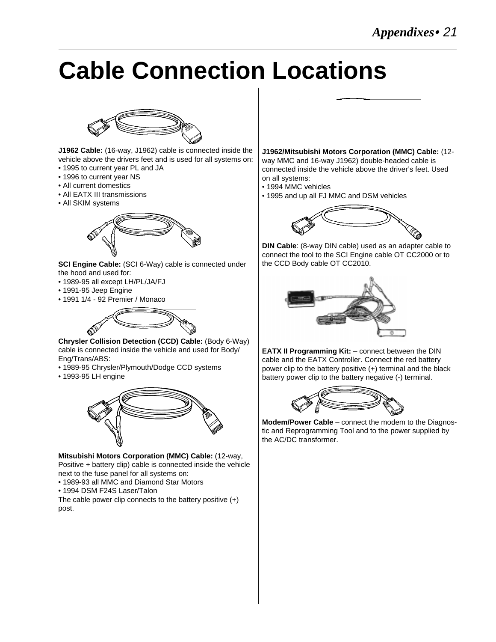# **Cable Connection Locations**



**J1962 Cable:** (16-way, J1962) cable is connected inside the vehicle above the drivers feet and is used for all systems on:

- 1995 to current year PL and JA
- 1996 to current year NS
- All current domestics
- All EATX III transmissions
- All SKIM systems



**SCI Engine Cable:** (SCI 6-Way) cable is connected under the hood and used for:

- 1989-95 all except LH/PL/JA/FJ
- 1991-95 Jeep Engine
- 1991 1/4 92 Premier / Monaco



**Chrysler Collision Detection (CCD) Cable:** (Body 6-Way) cable is connected inside the vehicle and used for Body/ Eng/Trans/ABS:

- 1989-95 Chrysler/Plymouth/Dodge CCD systems
- 1993-95 LH engine



**Mitsubishi Motors Corporation (MMC) Cable:** (12-way, Positive + battery clip) cable is connected inside the vehicle next to the fuse panel for all systems on:

- 1989-93 all MMC and Diamond Star Motors
- 1994 DSM F24S Laser/Talon

The cable power clip connects to the battery positive  $(+)$ post.



**J1962/Mitsubishi Motors Corporation (MMC) Cable:** (12 way MMC and 16-way J1962) double-headed cable is connected inside the vehicle above the driver's feet. Used on all systems:

- 1994 MMC vehicles
- 1995 and up all FJ MMC and DSM vehicles



**DIN Cable**: (8-way DIN cable) used as an adapter cable to connect the tool to the SCI Engine cable OT CC2000 or to the CCD Body cable OT CC2010.



**EATX II Programming Kit:** – connect between the DIN cable and the EATX Controller. Connect the red battery power clip to the battery positive (+) terminal and the black battery power clip to the battery negative (-) terminal.



**Modem/Power Cable** – connect the modem to the Diagnostic and Reprogramming Tool and to the power supplied by the AC/DC transformer.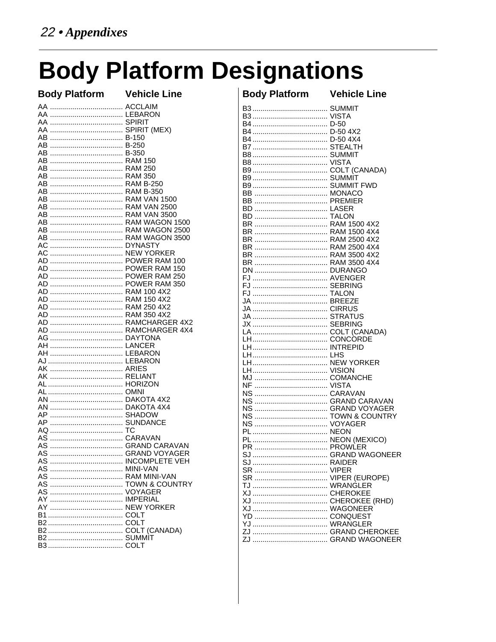# **Body Platform Designations**

| <b>Body Platform Vehicle Line</b> |  |
|-----------------------------------|--|
|                                   |  |
|                                   |  |
|                                   |  |
|                                   |  |
|                                   |  |
|                                   |  |
| AB ……………………………… B-350             |  |
| AB ……………………………… RAM 150           |  |
|                                   |  |
|                                   |  |
| AB  RAM B-250                     |  |
|                                   |  |
|                                   |  |
| AB  RAM VAN 2500                  |  |
| AB  RAM VAN 3500                  |  |
|                                   |  |
|                                   |  |
| AB  RAM WAGON 3500                |  |
|                                   |  |
|                                   |  |
| AD  POWER RAM 100                 |  |
| AD  POWER RAM 150                 |  |
| AD  POWER RAM 250                 |  |
| AD  RAM 100 4X2                   |  |
| AD  RAM 150 4X2                   |  |
| AD  RAM 250 4X2                   |  |
|                                   |  |
| AD  RAMCHARGER 4X2                |  |
| AD  RAMCHARGER 4X4                |  |
|                                   |  |
|                                   |  |
|                                   |  |
|                                   |  |
|                                   |  |
|                                   |  |
|                                   |  |
|                                   |  |
|                                   |  |
|                                   |  |
| AP  SHADOW                        |  |
| AP  SUNDANCE                      |  |
| AQ ………………………………… TC               |  |
|                                   |  |
| AS  GRAND CARAVAN                 |  |
| AS  GRAND VOYAGER                 |  |
|                                   |  |
|                                   |  |
| AS  RAM MINI-VAN                  |  |
|                                   |  |
|                                   |  |
|                                   |  |
|                                   |  |
|                                   |  |
|                                   |  |
|                                   |  |
|                                   |  |
|                                   |  |

| <b>Body Platform Vehicle Line</b> |  |
|-----------------------------------|--|
|                                   |  |
|                                   |  |
|                                   |  |
|                                   |  |
|                                   |  |
|                                   |  |
|                                   |  |
|                                   |  |
|                                   |  |
|                                   |  |
|                                   |  |
| BВ<br>BB                          |  |
|                                   |  |
|                                   |  |
|                                   |  |
|                                   |  |
|                                   |  |
|                                   |  |
|                                   |  |
|                                   |  |
|                                   |  |
|                                   |  |
|                                   |  |
| FJ                                |  |
|                                   |  |
|                                   |  |
|                                   |  |
|                                   |  |
|                                   |  |
|                                   |  |
|                                   |  |
|                                   |  |
|                                   |  |
|                                   |  |
| NF                                |  |
|                                   |  |
|                                   |  |
| NS  GRAND VOYAGER                 |  |
|                                   |  |
| NS                                |  |
|                                   |  |
|                                   |  |
| PR<br>PROWLER                     |  |
|                                   |  |
|                                   |  |
|                                   |  |
|                                   |  |
|                                   |  |
|                                   |  |
|                                   |  |
|                                   |  |
|                                   |  |
|                                   |  |
|                                   |  |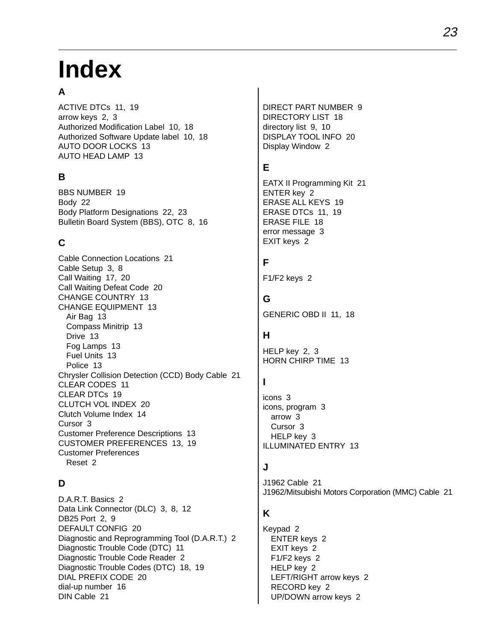# **Index**

### **A**

ACTIVE DTCs 11, 19 arrow keys 2, 3 Authorized Modification Label 10, 18 Authorized Software Update label 10, 18 AUTO DOOR LOCKS 13 AUTO HEAD LAMP 13

### **B**

BBS NUMBER 19 Body 22 Body Platform Designations 22, 23 Bulletin Board System (BBS), OTC 8, 16

### **C**

Cable Connection Locations 21 Cable Setup 3, 8 Call Waiting 17, 20 Call Waiting Defeat Code 20 CHANGE COUNTRY 13 CHANGE EQUIPMENT 13 Air Bag 13 Compass Minitrip 13 Drive 13 Fog Lamps 13 Fuel Units 13 Police 13 Chrysler Collision Detection (CCD) Body Cable 21 CLEAR CODES 11 CLEAR DTCs 19 CLUTCH VOL INDEX 20 Clutch Volume Index 14 Cursor 3 Customer Preference Descriptions 13 CUSTOMER PREFERENCES 13, 19 Customer Preferences Reset 2

### **D**

D.A.R.T. Basics 2 Data Link Connector (DLC) 3, 8, 12 DB25 Port 2, 9 DEFAULT CONFIG 20 Diagnostic and Reprogramming Tool (D.A.R.T.) 2 Diagnostic Trouble Code (DTC) 11 Diagnostic Trouble Code Reader 2 Diagnostic Trouble Codes (DTC) 18, 19 DIAL PREFIX CODE 20 dial-up number 16 DIN Cable 21

DIRECT PART NUMBER 9 DIRECTORY LIST 18 directory list 9, 10 DISPLAY TOOL INFO 20 Display Window 2

### **E**

EATX II Programming Kit 21 ENTER key 2 ERASE ALL KEYS 19 ERASE DTCs 11, 19 ERASE FILE 18 error message 3 EXIT keys 2

### **F**

F1/F2 keys 2

### **G**

GENERIC OBD II 11, 18

#### **H**

HELP key 2, 3 HORN CHIRP TIME 13

#### **I**

icons 3 icons, program 3 arrow 3 Cursor 3 HELP key 3 ILLUMINATED ENTRY 13

#### **J**

J1962 Cable 21 J1962/Mitsubishi Motors Corporation (MMC) Cable 21

#### **K**

Keypad 2 ENTER keys 2 EXIT keys 2 F1/F2 keys 2 HELP key 2 LEFT/RIGHT arrow keys 2 RECORD key 2 UP/DOWN arrow keys 2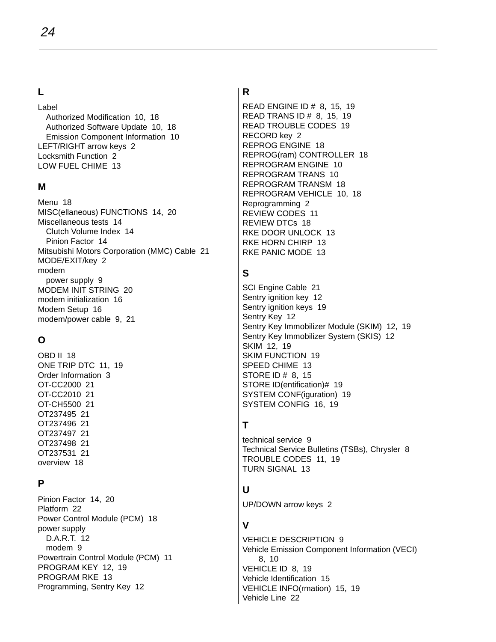#### **L**

Label Authorized Modification 10, 18 Authorized Software Update 10, 18 Emission Component Information 10 LEFT/RIGHT arrow keys 2 Locksmith Function 2 LOW FUEL CHIME 13

#### **M**

Menu 18 MISC(ellaneous) FUNCTIONS 14, 20 Miscellaneous tests 14 Clutch Volume Index 14 Pinion Factor 14 Mitsubishi Motors Corporation (MMC) Cable 21 MODE/EXIT/key 2 modem power supply 9 MODEM INIT STRING 20 modem initialization 16 Modem Setup 16 modem/power cable 9, 21

### **O**

OBD II 18 ONE TRIP DTC 11, 19 Order Information 3 OT-CC2000 21 OT-CC2010 21 OT-CH5500 21 OT237495 21 OT237496 21 OT237497 21 OT237498 21 OT237531 21 overview 18

#### **P**

Pinion Factor 14, 20 Platform 22 Power Control Module (PCM) 18 power supply D.A.R.T. 12 modem 9 Powertrain Control Module (PCM) 11 PROGRAM KEY 12, 19 PROGRAM RKE 13 Programming, Sentry Key 12

### **R**

READ ENGINE ID # 8, 15, 19 READ TRANS ID # 8, 15, 19 READ TROUBLE CODES 19 RECORD key 2 REPROG ENGINE 18 REPROG(ram) CONTROLLER 18 REPROGRAM ENGINE 10 REPROGRAM TRANS 10 REPROGRAM TRANSM 18 REPROGRAM VEHICLE 10, 18 Reprogramming 2 REVIEW CODES 11 REVIEW DTCs 18 RKE DOOR UNLOCK 13 RKE HORN CHIRP 13 RKE PANIC MODE 13

#### **S**

SCI Engine Cable 21 Sentry ignition key 12 Sentry ignition keys 19 Sentry Key 12 Sentry Key Immobilizer Module (SKIM) 12, 19 Sentry Key Immobilizer System (SKIS) 12 SKIM 12, 19 SKIM FUNCTION 19 SPEED CHIME 13 STORE ID # 8, 15 STORE ID(entification)# 19 SYSTEM CONF(iguration) 19 SYSTEM CONFIG 16, 19

#### **T**

technical service 9 Technical Service Bulletins (TSBs), Chrysler 8 TROUBLE CODES 11, 19 TURN SIGNAL 13

#### **U**

UP/DOWN arrow keys 2

### **V**

VEHICLE DESCRIPTION 9 Vehicle Emission Component Information (VECI) 8, 10 VEHICLE ID 8, 19 Vehicle Identification 15 VEHICLE INFO(rmation) 15, 19 Vehicle Line 22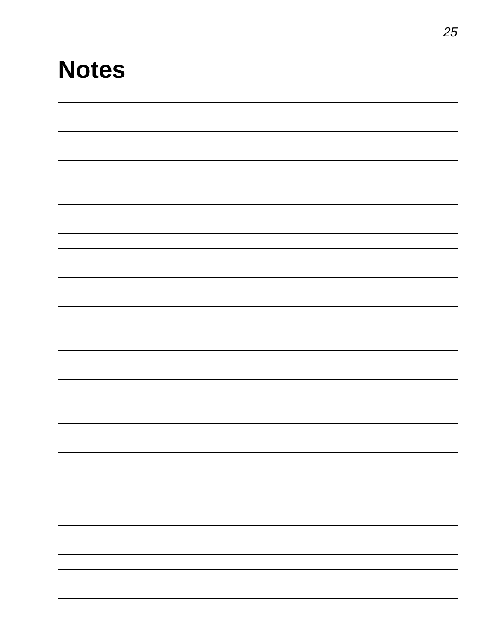# **Notes**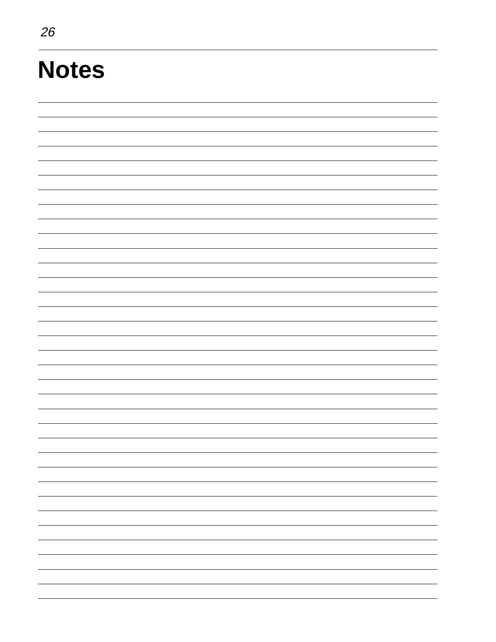# **Notes**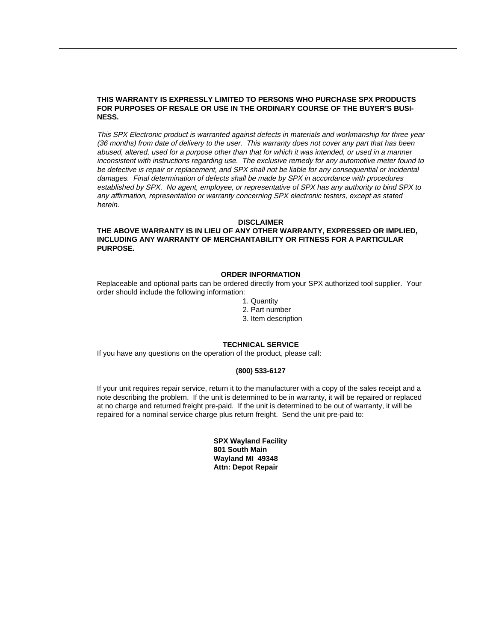#### **THIS WARRANTY IS EXPRESSLY LIMITED TO PERSONS WHO PURCHASE SPX PRODUCTS FOR PURPOSES OF RESALE OR USE IN THE ORDINARY COURSE OF THE BUYER'S BUSI-NESS.**

This SPX Electronic product is warranted against defects in materials and workmanship for three year (36 months) from date of delivery to the user. This warranty does not cover any part that has been abused, altered, used for a purpose other than that for which it was intended, or used in a manner inconsistent with instructions regarding use. The exclusive remedy for any automotive meter found to be defective is repair or replacement, and SPX shall not be liable for any consequential or incidental damages. Final determination of defects shall be made by SPX in accordance with procedures established by SPX. No agent, employee, or representative of SPX has any authority to bind SPX to any affirmation, representation or warranty concerning SPX electronic testers, except as stated herein.

#### **DISCLAIMER**

#### **THE ABOVE WARRANTY IS IN LIEU OF ANY OTHER WARRANTY, EXPRESSED OR IMPLIED, INCLUDING ANY WARRANTY OF MERCHANTABILITY OR FITNESS FOR A PARTICULAR PURPOSE.**

#### **ORDER INFORMATION**

Replaceable and optional parts can be ordered directly from your SPX authorized tool supplier. Your order should include the following information:

1. Quantity

- 2. Part number
- 3. Item description

#### **TECHNICAL SERVICE**

If you have any questions on the operation of the product, please call:

#### **(800) 533-6127**

If your unit requires repair service, return it to the manufacturer with a copy of the sales receipt and a note describing the problem. If the unit is determined to be in warranty, it will be repaired or replaced at no charge and returned freight pre-paid. If the unit is determined to be out of warranty, it will be repaired for a nominal service charge plus return freight. Send the unit pre-paid to:

> **SPX Wayland Facility 801 South Main Wayland MI 49348 Attn: Depot Repair**